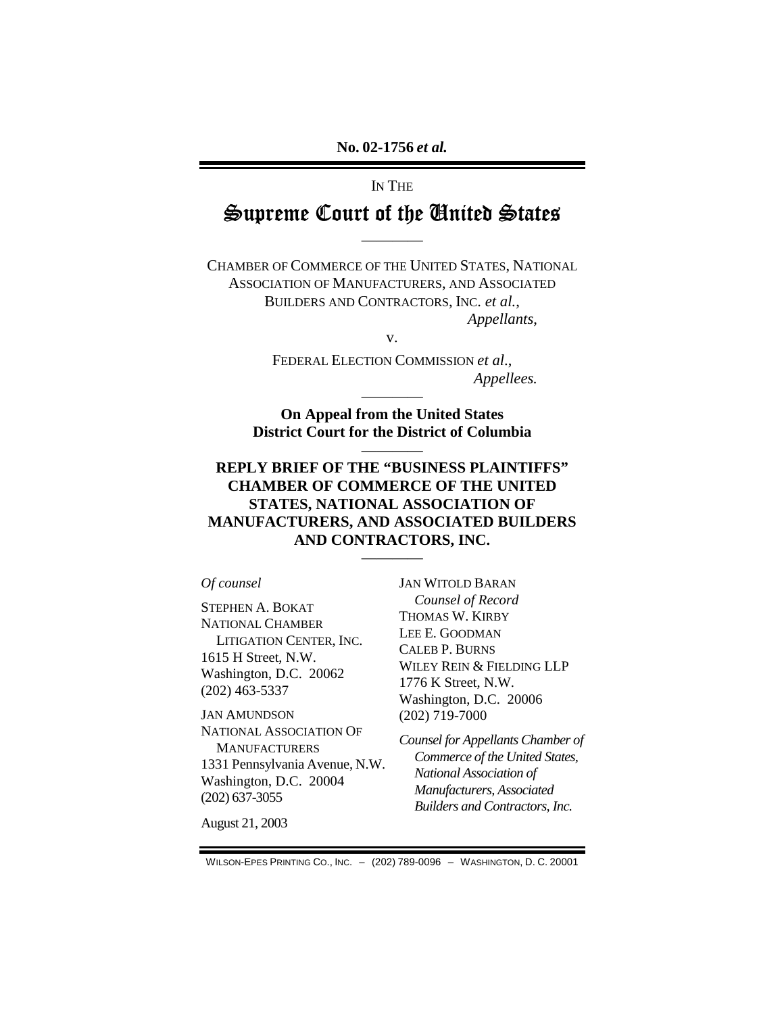## IN THE  $\cong$ upreme Court of the United  $\cong$ tates

————

CHAMBER OF COMMERCE OF THE UNITED STATES, NATIONAL ASSOCIATION OF MANUFACTURERS, AND ASSOCIATED BUILDERS AND CONTRACTORS, INC. *et al.*, *Appellants*,

v.

FEDERAL ELECTION COMMISSION *et al*., *Appellees.* 

**On Appeal from the United States District Court for the District of Columbia** 

————

————

### **REPLY BRIEF OF THE "BUSINESS PLAINTIFFS" CHAMBER OF COMMERCE OF THE UNITED STATES, NATIONAL ASSOCIATION OF MANUFACTURERS, AND ASSOCIATED BUILDERS AND CONTRACTORS, INC.**

————

#### *Of counsel*

STEPHEN A. BOKAT NATIONAL CHAMBER LITIGATION CENTER, INC. 1615 H Street, N.W. Washington, D.C. 20062 (202) 463-5337

JAN AMUNDSON NATIONAL ASSOCIATION OF **MANUFACTURERS** 1331 Pennsylvania Avenue, N.W. Washington, D.C. 20004 (202) 637-3055

August 21, 2003

JAN WITOLD BARAN *Counsel of Record*  THOMAS W. KIRBY LEE E. GOODMAN CALEB P. BURNS WILEY REIN & FIELDING LLP 1776 K Street, N.W. Washington, D.C. 20006 (202) 719-7000

*Counsel for Appellants Chamber of Commerce of the United States, National Association of Manufacturers, Associated Builders and Contractors, Inc.* 

WILSON-EPES PRINTING CO., INC. – (202) 789-0096 – WASHINGTON, D. C. 20001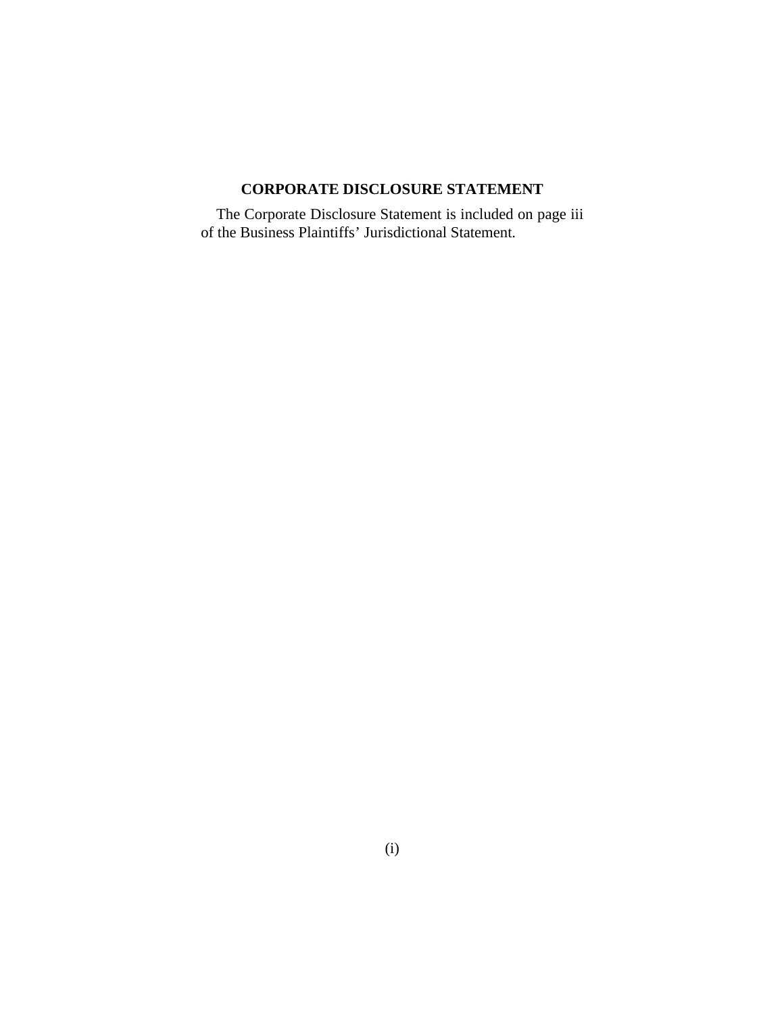### **CORPORATE DISCLOSURE STATEMENT**

The Corporate Disclosure Statement is included on page iii of the Business Plaintiffs' Jurisdictional Statement.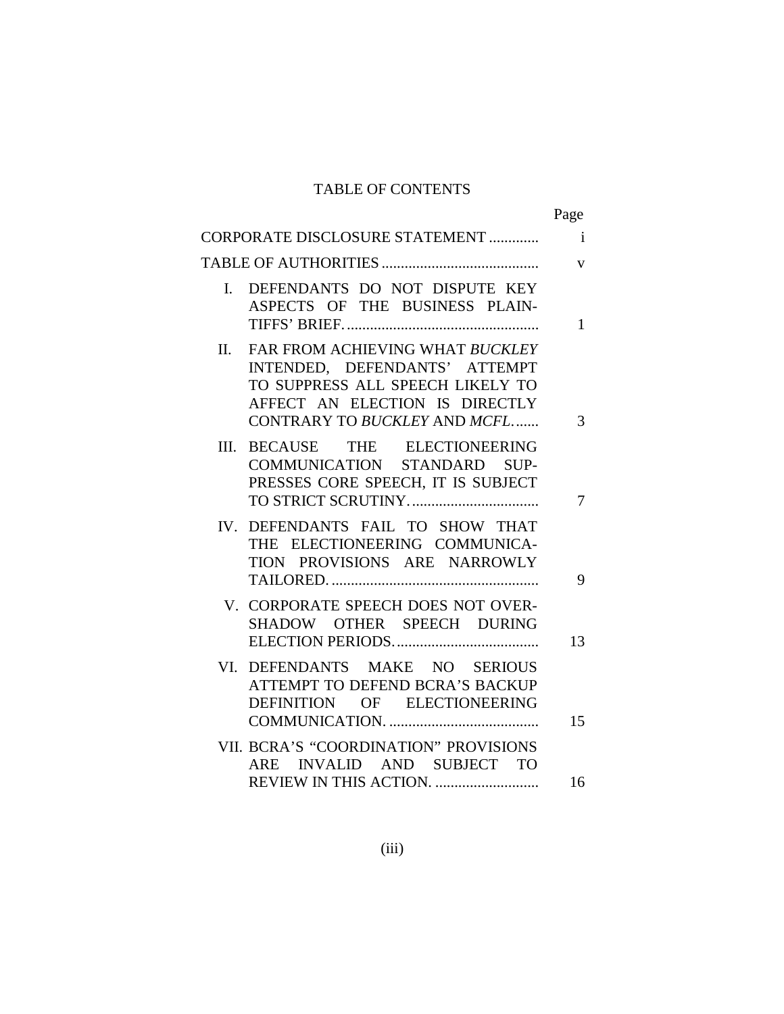### TABLE OF CONTENTS

|                                                                                                                                                                               | Page         |
|-------------------------------------------------------------------------------------------------------------------------------------------------------------------------------|--------------|
| CORPORATE DISCLOSURE STATEMENT                                                                                                                                                | $\mathbf{i}$ |
|                                                                                                                                                                               | $\mathbf{V}$ |
| DEFENDANTS DO NOT DISPUTE KEY<br>$\mathbf{I}$ .<br>ASPECTS OF THE BUSINESS PLAIN-                                                                                             | 1            |
| FAR FROM ACHIEVING WHAT BUCKLEY<br>II.<br>INTENDED, DEFENDANTS' ATTEMPT<br>TO SUPPRESS ALL SPEECH LIKELY TO<br>AFFECT AN ELECTION IS DIRECTLY<br>CONTRARY TO BUCKLEY AND MCFL | 3            |
| BECAUSE THE ELECTIONEERING<br>III.<br>COMMUNICATION STANDARD SUP-<br>PRESSES CORE SPEECH, IT IS SUBJECT                                                                       | 7            |
| IV. DEFENDANTS FAIL TO SHOW THAT<br>THE ELECTIONEERING COMMUNICA-<br>TION PROVISIONS ARE NARROWLY                                                                             | 9            |
| V. CORPORATE SPEECH DOES NOT OVER-<br>SHADOW OTHER SPEECH DURING                                                                                                              | 13           |
| VI. DEFENDANTS MAKE NO SERIOUS<br>ATTEMPT TO DEFEND BCRA'S BACKUP<br>DEFINITION OF ELECTIONEERING                                                                             | 15           |
| VII. BCRA'S "COORDINATION" PROVISIONS<br>INVALID AND SUBJECT TO<br>ARE<br>REVIEW IN THIS ACTION.                                                                              | 16           |
|                                                                                                                                                                               |              |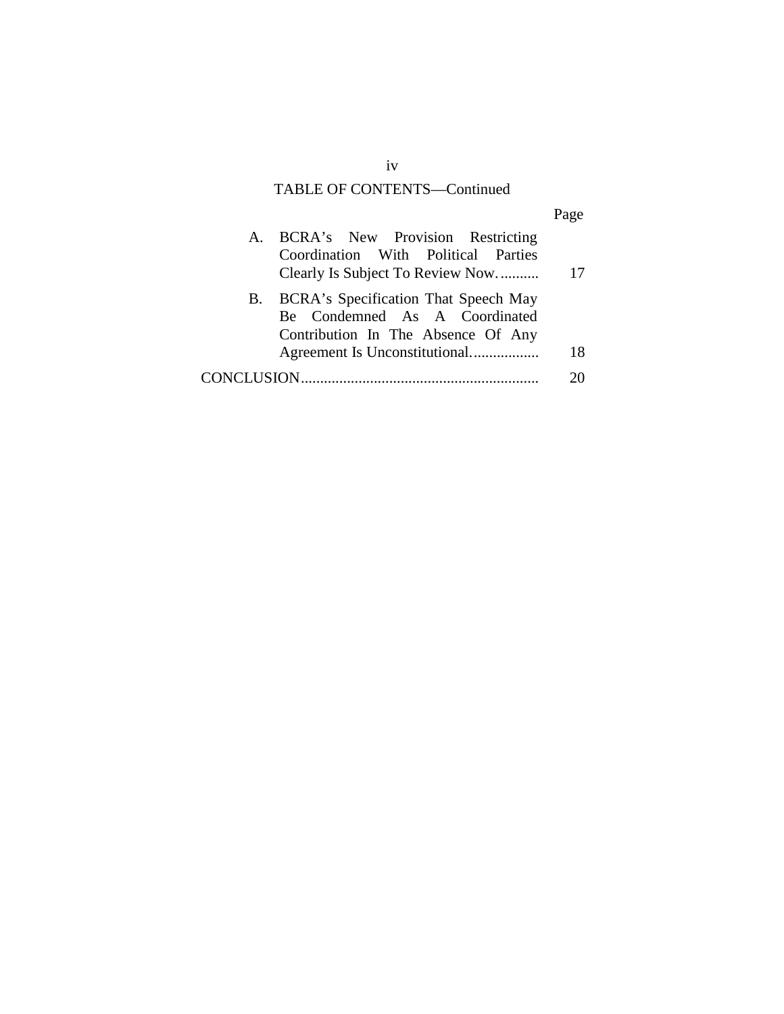### TABLE OF CONTENTS—Continued

| A. | BCRA's New Provision Restricting     |    |
|----|--------------------------------------|----|
|    | Coordination With Political Parties  |    |
|    | Clearly Is Subject To Review Now     | 17 |
| B. | BCRA's Specification That Speech May |    |
|    | Be Condemned As A Coordinated        |    |
|    | Contribution In The Absence Of Any   |    |
|    |                                      | 18 |
|    |                                      |    |
|    |                                      |    |

iv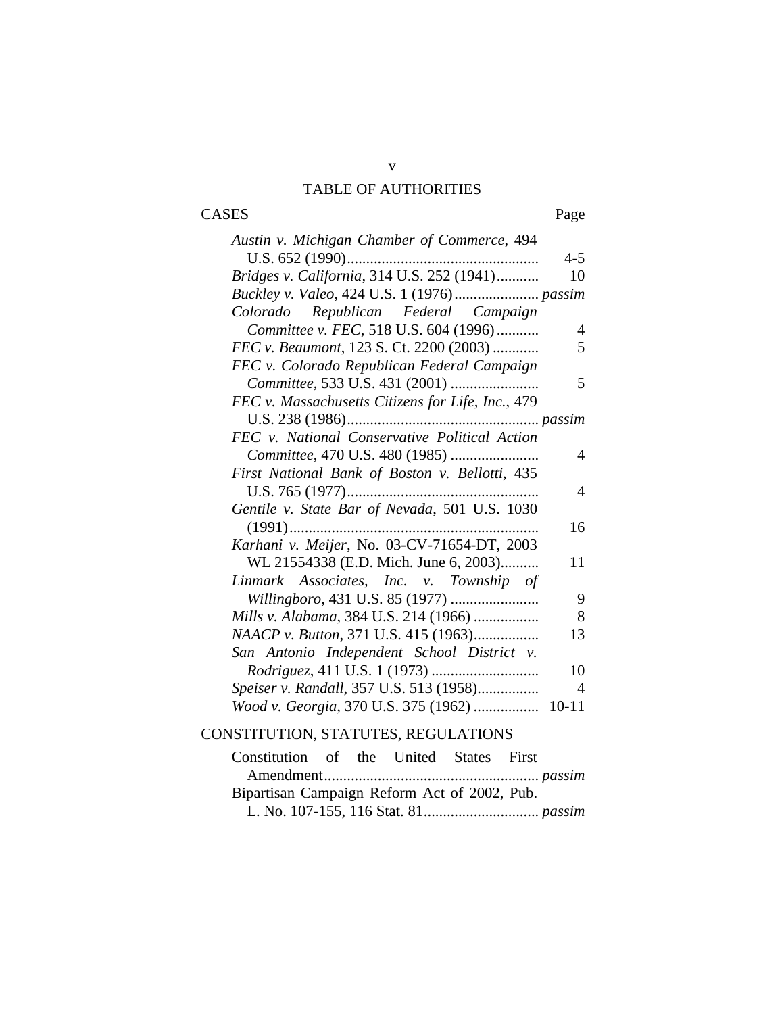### TABLE OF AUTHORITIES

# CASES Page

| Austin v. Michigan Chamber of Commerce, 494       |                |
|---------------------------------------------------|----------------|
|                                                   | $4 - 5$        |
| Bridges v. California, 314 U.S. 252 (1941)        | 10             |
|                                                   |                |
| Colorado Republican Federal Campaign              |                |
| Committee v. FEC, 518 U.S. 604 (1996)             | $\overline{4}$ |
| FEC v. Beaumont, 123 S. Ct. 2200 (2003)           | 5              |
| FEC v. Colorado Republican Federal Campaign       |                |
|                                                   | 5              |
| FEC v. Massachusetts Citizens for Life, Inc., 479 |                |
|                                                   |                |
| FEC v. National Conservative Political Action     |                |
| Committee, 470 U.S. 480 (1985)                    | $\overline{4}$ |
| First National Bank of Boston v. Bellotti, 435    |                |
|                                                   | $\overline{4}$ |
| Gentile v. State Bar of Nevada, 501 U.S. 1030     |                |
|                                                   | 16             |
| Karhani v. Meijer, No. 03-CV-71654-DT, 2003       |                |
| WL 21554338 (E.D. Mich. June 6, 2003)             | 11             |
| Linmark Associates, Inc. v. Township of           |                |
| Willingboro, 431 U.S. 85 (1977)                   | 9              |
| Mills v. Alabama, 384 U.S. 214 (1966)             | 8              |
| NAACP v. Button, 371 U.S. 415 (1963)              | 13             |
| San Antonio Independent School District v.        |                |
|                                                   | 10             |
| Speiser v. Randall, 357 U.S. 513 (1958)           | $\overline{4}$ |
| Wood v. Georgia, 370 U.S. 375 (1962)              | $10 - 11$      |

### CONSTITUTION, STATUTES, REGULATIONS

| Constitution of the United States First      |  |  |  |  |  |
|----------------------------------------------|--|--|--|--|--|
|                                              |  |  |  |  |  |
| Bipartisan Campaign Reform Act of 2002, Pub. |  |  |  |  |  |
|                                              |  |  |  |  |  |

v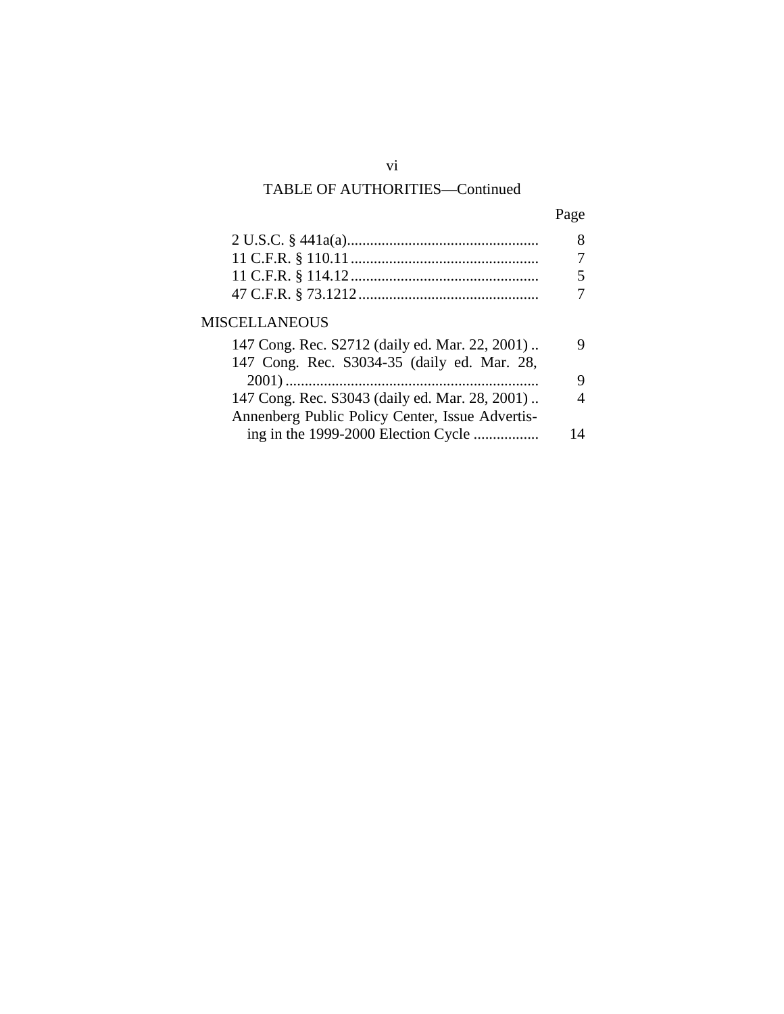# TABLE OF AUTHORITIES—Continued

| ٠<br>× |
|--------|
|--------|

| <b>MISCELLANEOUS</b>                                                                          |   |
|-----------------------------------------------------------------------------------------------|---|
| 147 Cong. Rec. S2712 (daily ed. Mar. 22, 2001)<br>147 Cong. Rec. S3034-35 (daily ed. Mar. 28, | Q |
|                                                                                               | Q |
| 147 Cong. Rec. S3043 (daily ed. Mar. 28, 2001)                                                |   |
| Annenberg Public Policy Center, Issue Advertis-                                               |   |
| ing in the 1999-2000 Election Cycle                                                           |   |
|                                                                                               |   |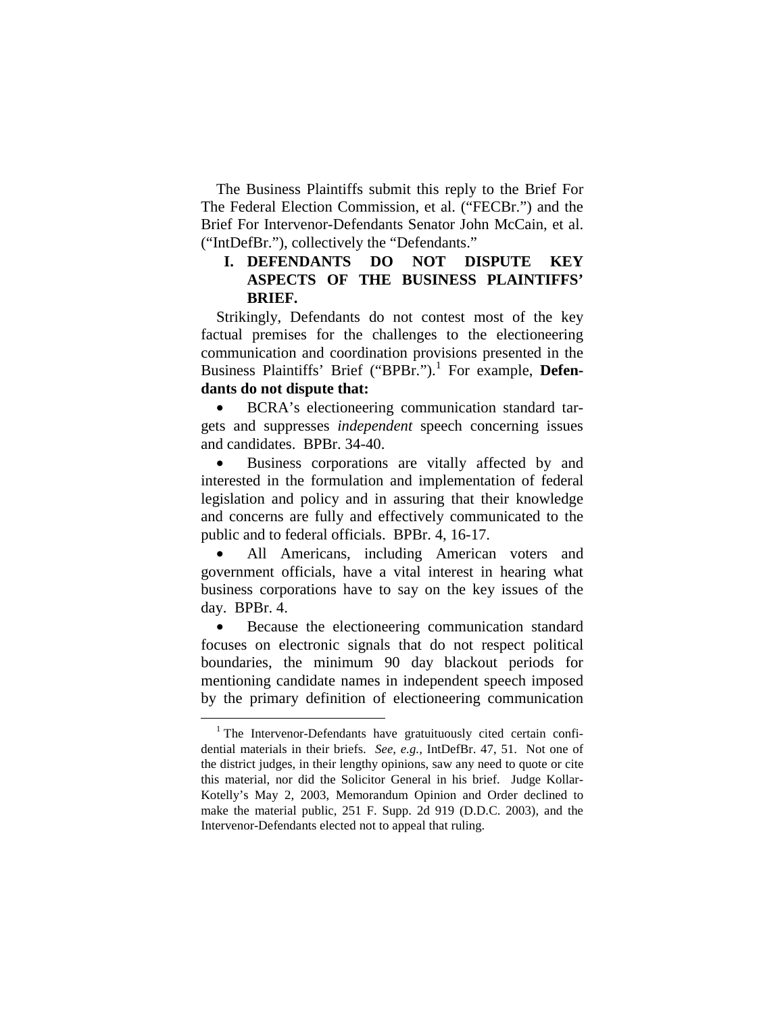The Business Plaintiffs submit this reply to the Brief For The Federal Election Commission, et al. ("FECBr.") and the Brief For Intervenor-Defendants Senator John McCain, et al. ("IntDefBr."), collectively the "Defendants."

### **I. DEFENDANTS DO NOT DISPUTE KEY ASPECTS OF THE BUSINESS PLAINTIFFS' BRIEF.**

Strikingly, Defendants do not contest most of the key factual premises for the challenges to the electioneering communication and coordination provisions presented in the Business Plaintiffs' Brief ("BPBr.").<sup>1</sup> For example, Defen**dants do not dispute that:** 

BCRA's electioneering communication standard targets and suppresses *independent* speech concerning issues and candidates. BPBr. 34-40.

Business corporations are vitally affected by and interested in the formulation and implementation of federal legislation and policy and in assuring that their knowledge and concerns are fully and effectively communicated to the public and to federal officials. BPBr. 4, 16-17.

All Americans, including American voters and government officials, have a vital interest in hearing what business corporations have to say on the key issues of the day. BPBr. 4.

Because the electioneering communication standard focuses on electronic signals that do not respect political boundaries, the minimum 90 day blackout periods for mentioning candidate names in independent speech imposed by the primary definition of electioneering communication

 $1$  The Intervenor-Defendants have gratuituously cited certain confidential materials in their briefs. *See, e.g.,* IntDefBr. 47, 51. Not one of the district judges, in their lengthy opinions, saw any need to quote or cite this material, nor did the Solicitor General in his brief. Judge Kollar-Kotelly's May 2, 2003, Memorandum Opinion and Order declined to make the material public, 251 F. Supp. 2d 919 (D.D.C. 2003), and the Intervenor-Defendants elected not to appeal that ruling.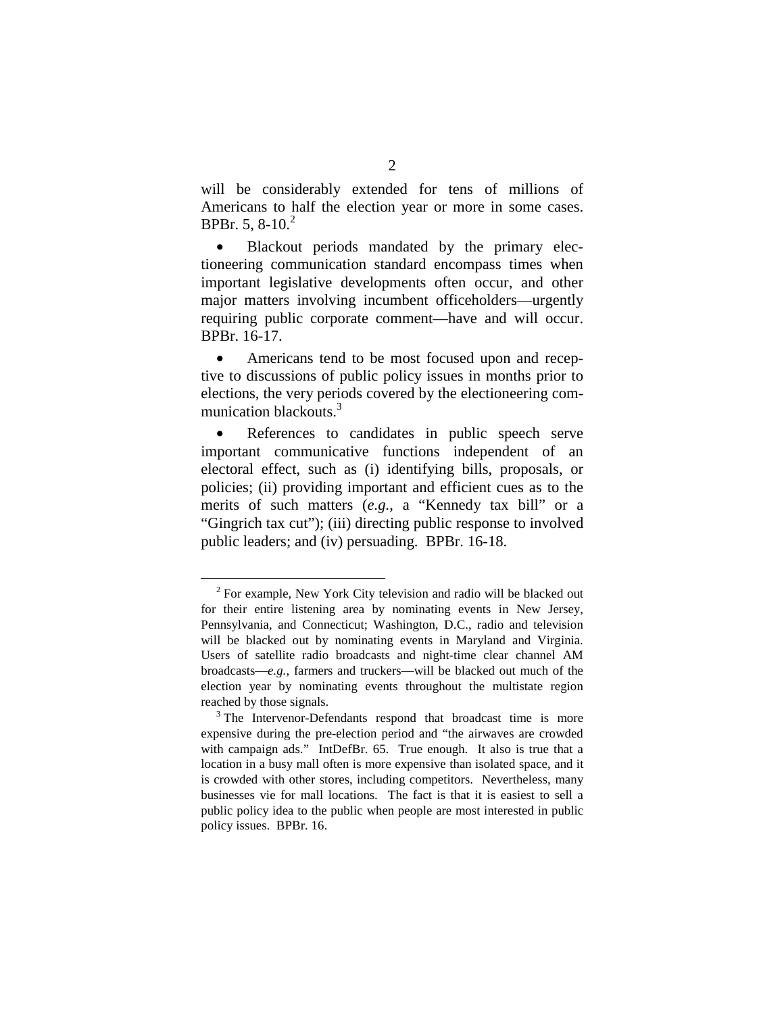will be considerably extended for tens of millions of Americans to half the election year or more in some cases. BPBr. 5,  $8-10.<sup>2</sup>$ 

• Blackout periods mandated by the primary electioneering communication standard encompass times when important legislative developments often occur, and other major matters involving incumbent officeholders—urgently requiring public corporate comment—have and will occur. BPBr. 16-17.

Americans tend to be most focused upon and receptive to discussions of public policy issues in months prior to elections, the very periods covered by the electioneering communication blackouts.<sup>3</sup>

References to candidates in public speech serve important communicative functions independent of an electoral effect, such as (i) identifying bills, proposals, or policies; (ii) providing important and efficient cues as to the merits of such matters (*e.g.*, a "Kennedy tax bill" or a "Gingrich tax cut"); (iii) directing public response to involved public leaders; and (iv) persuading. BPBr. 16-18.

 $2$  For example, New York City television and radio will be blacked out for their entire listening area by nominating events in New Jersey, Pennsylvania, and Connecticut; Washington, D.C., radio and television will be blacked out by nominating events in Maryland and Virginia. Users of satellite radio broadcasts and night-time clear channel AM broadcasts—*e.g.*, farmers and truckers—will be blacked out much of the election year by nominating events throughout the multistate region

reached by those signals.<br><sup>3</sup> The Intervenor-Defendants respond that broadcast time is more expensive during the pre-election period and "the airwaves are crowded with campaign ads." IntDefBr. 65. True enough. It also is true that a location in a busy mall often is more expensive than isolated space, and it is crowded with other stores, including competitors. Nevertheless, many businesses vie for mall locations. The fact is that it is easiest to sell a public policy idea to the public when people are most interested in public policy issues. BPBr. 16.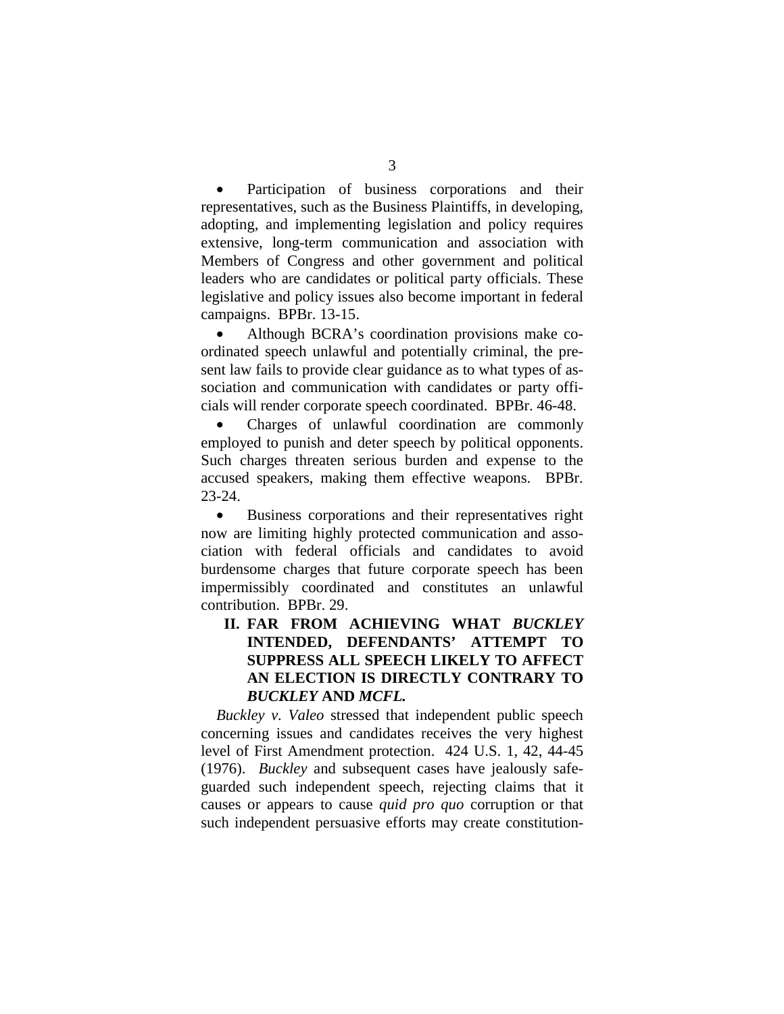Participation of business corporations and their representatives, such as the Business Plaintiffs, in developing, adopting, and implementing legislation and policy requires extensive, long-term communication and association with Members of Congress and other government and political leaders who are candidates or political party officials. These legislative and policy issues also become important in federal campaigns. BPBr. 13-15.

• Although BCRA's coordination provisions make coordinated speech unlawful and potentially criminal, the present law fails to provide clear guidance as to what types of association and communication with candidates or party officials will render corporate speech coordinated. BPBr. 46-48.

• Charges of unlawful coordination are commonly employed to punish and deter speech by political opponents. Such charges threaten serious burden and expense to the accused speakers, making them effective weapons. BPBr. 23-24.

• Business corporations and their representatives right now are limiting highly protected communication and association with federal officials and candidates to avoid burdensome charges that future corporate speech has been impermissibly coordinated and constitutes an unlawful contribution. BPBr. 29.

### **II. FAR FROM ACHIEVING WHAT** *BUCKLEY*  **INTENDED, DEFENDANTS' ATTEMPT TO SUPPRESS ALL SPEECH LIKELY TO AFFECT AN ELECTION IS DIRECTLY CONTRARY TO**  *BUCKLEY* **AND** *MCFL.*

*Buckley v. Valeo* stressed that independent public speech concerning issues and candidates receives the very highest level of First Amendment protection. 424 U.S. 1, 42, 44-45 (1976). *Buckley* and subsequent cases have jealously safeguarded such independent speech, rejecting claims that it causes or appears to cause *quid pro quo* corruption or that such independent persuasive efforts may create constitution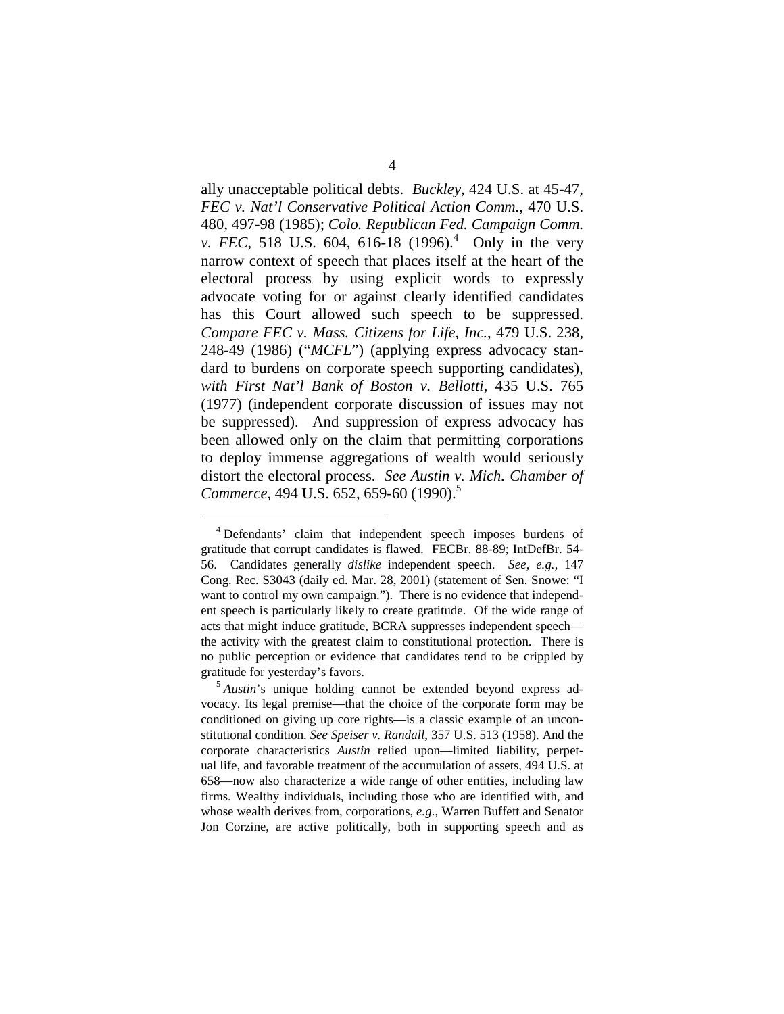ally unacceptable political debts. *Buckley*, 424 U.S. at 45-47, *FEC v. Nat'l Conservative Political Action Comm.*, 470 U.S. 480, 497-98 (1985); *Colo. Republican Fed. Campaign Comm. v. FEC*, 518 U.S. 604, 616-18 (1996).<sup>4</sup> Only in the very narrow context of speech that places itself at the heart of the electoral process by using explicit words to expressly advocate voting for or against clearly identified candidates has this Court allowed such speech to be suppressed. *Compare FEC v. Mass. Citizens for Life, Inc.*, 479 U.S. 238, 248-49 (1986) ("*MCFL*") (applying express advocacy standard to burdens on corporate speech supporting candidates), *with First Nat'l Bank of Boston v. Bellotti*, 435 U.S. 765 (1977) (independent corporate discussion of issues may not be suppressed). And suppression of express advocacy has been allowed only on the claim that permitting corporations to deploy immense aggregations of wealth would seriously distort the electoral process. *See Austin v. Mich. Chamber of Commerce*, 494 U.S. 652, 659-60 (1990).<sup>5</sup>

<sup>4</sup> Defendants' claim that independent speech imposes burdens of gratitude that corrupt candidates is flawed. FECBr. 88-89; IntDefBr. 54- 56. Candidates generally *dislike* independent speech. *See, e.g.,* 147 Cong. Rec. S3043 (daily ed. Mar. 28, 2001) (statement of Sen. Snowe: "I want to control my own campaign."). There is no evidence that independent speech is particularly likely to create gratitude. Of the wide range of acts that might induce gratitude, BCRA suppresses independent speech the activity with the greatest claim to constitutional protection. There is no public perception or evidence that candidates tend to be crippled by gratitude for yesterday's favors. 5 *Austin*'s unique holding cannot be extended beyond express ad-

vocacy. Its legal premise—that the choice of the corporate form may be conditioned on giving up core rights—is a classic example of an unconstitutional condition. *See Speiser v. Randall*, 357 U.S. 513 (1958). And the corporate characteristics *Austin* relied upon—limited liability, perpetual life, and favorable treatment of the accumulation of assets, 494 U.S. at 658—now also characterize a wide range of other entities, including law firms. Wealthy individuals, including those who are identified with, and whose wealth derives from, corporations, *e.g*., Warren Buffett and Senator Jon Corzine, are active politically, both in supporting speech and as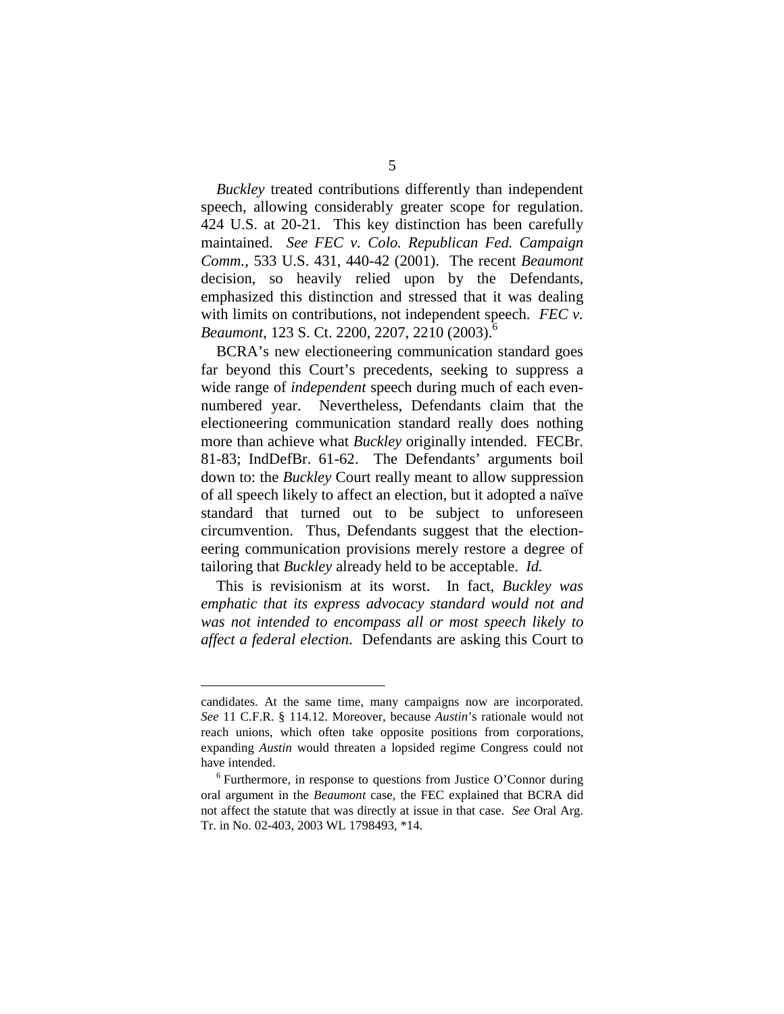*Buckley* treated contributions differently than independent speech, allowing considerably greater scope for regulation. 424 U.S. at 20-21. This key distinction has been carefully maintained. *See FEC v. Colo. Republican Fed. Campaign Comm.*, 533 U.S. 431, 440-42 (2001). The recent *Beaumont*  decision, so heavily relied upon by the Defendants, emphasized this distinction and stressed that it was dealing with limits on contributions, not independent speech. *FEC v*. *Beaumont*, 123 S. Ct. 2200, 2207, 2210 (2003).<sup>6</sup>

BCRA's new electioneering communication standard goes far beyond this Court's precedents, seeking to suppress a wide range of *independent* speech during much of each evennumbered year. Nevertheless, Defendants claim that the electioneering communication standard really does nothing more than achieve what *Buckley* originally intended. FECBr. 81-83; IndDefBr. 61-62. The Defendants' arguments boil down to: the *Buckley* Court really meant to allow suppression of all speech likely to affect an election, but it adopted a naïve standard that turned out to be subject to unforeseen circumvention. Thus, Defendants suggest that the electioneering communication provisions merely restore a degree of tailoring that *Buckley* already held to be acceptable. *Id.* 

This is revisionism at its worst. In fact, *Buckley was emphatic that its express advocacy standard would not and was not intended to encompass all or most speech likely to affect a federal election*. Defendants are asking this Court to

candidates. At the same time, many campaigns now are incorporated. *See* 11 C.F.R. § 114.12. Moreover, because *Austin*'s rationale would not reach unions, which often take opposite positions from corporations, expanding *Austin* would threaten a lopsided regime Congress could not have intended.<br><sup>6</sup> Furthermore, in response to questions from Justice O'Connor during

oral argument in the *Beaumont* case, the FEC explained that BCRA did not affect the statute that was directly at issue in that case. *See* Oral Arg. Tr. in No. 02-403, 2003 WL 1798493, \*14.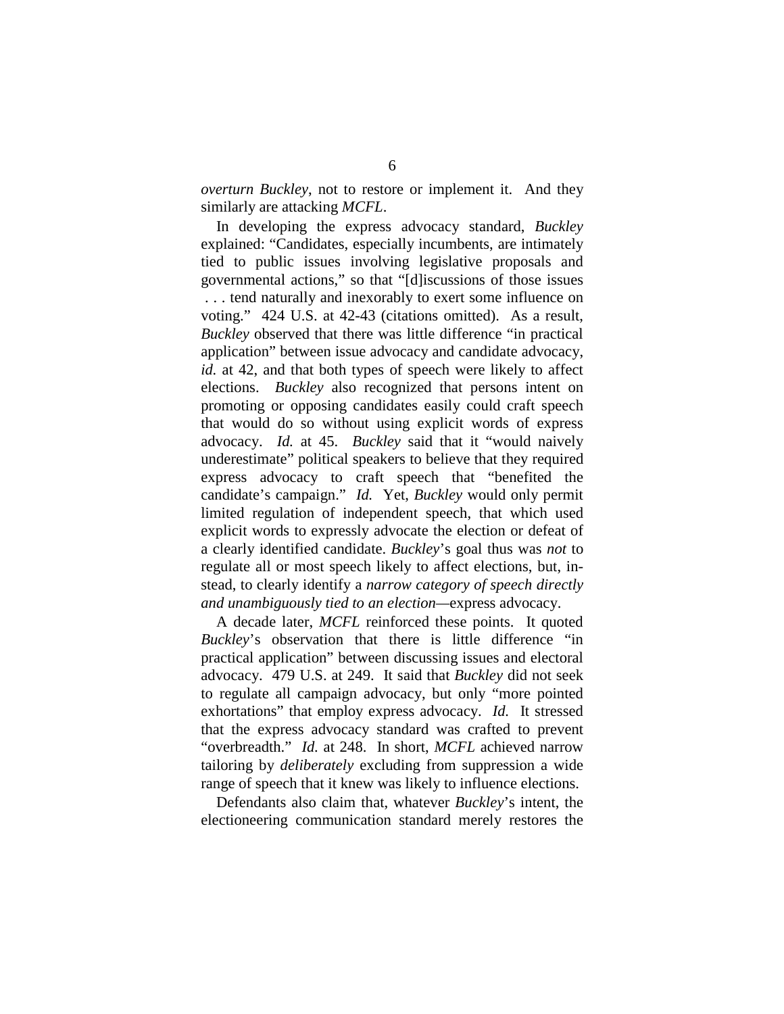*overturn Buckley*, not to restore or implement it. And they similarly are attacking *MCFL*.

In developing the express advocacy standard, *Buckley*  explained: "Candidates, especially incumbents, are intimately tied to public issues involving legislative proposals and governmental actions," so that "[d]iscussions of those issues . . . tend naturally and inexorably to exert some influence on voting." 424 U.S. at 42-43 (citations omitted). As a result, *Buckley* observed that there was little difference "in practical application" between issue advocacy and candidate advocacy, *id.* at 42, and that both types of speech were likely to affect elections. *Buckley* also recognized that persons intent on promoting or opposing candidates easily could craft speech that would do so without using explicit words of express advocacy. *Id.* at 45. *Buckley* said that it "would naively underestimate" political speakers to believe that they required express advocacy to craft speech that "benefited the candidate's campaign." *Id.* Yet, *Buckley* would only permit limited regulation of independent speech, that which used explicit words to expressly advocate the election or defeat of a clearly identified candidate. *Buckley*'s goal thus was *not* to regulate all or most speech likely to affect elections, but, instead, to clearly identify a *narrow category of speech directly and unambiguously tied to an election—*express advocacy.

A decade later, *MCFL* reinforced these points. It quoted *Buckley*'s observation that there is little difference "in practical application" between discussing issues and electoral advocacy. 479 U.S. at 249. It said that *Buckley* did not seek to regulate all campaign advocacy, but only "more pointed exhortations" that employ express advocacy. *Id.* It stressed that the express advocacy standard was crafted to prevent "overbreadth." *Id.* at 248. In short, *MCFL* achieved narrow tailoring by *deliberately* excluding from suppression a wide range of speech that it knew was likely to influence elections.

Defendants also claim that, whatever *Buckley*'s intent, the electioneering communication standard merely restores the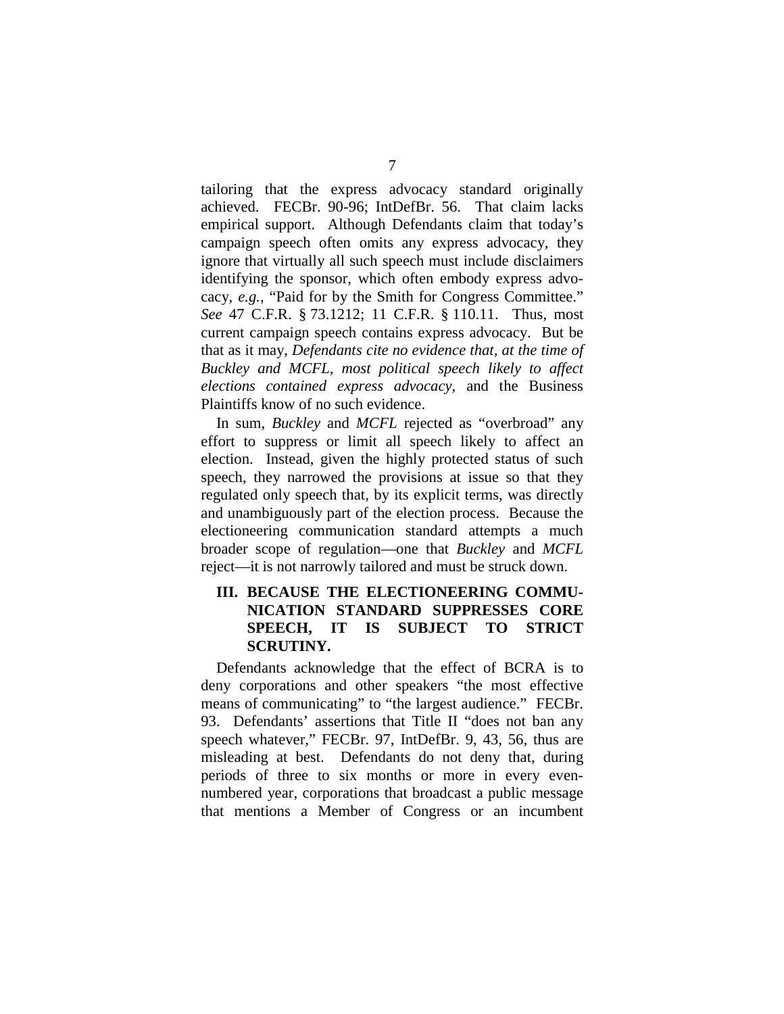tailoring that the express advocacy standard originally achieved. FECBr. 90-96; IntDefBr. 56. That claim lacks empirical support. Although Defendants claim that today's campaign speech often omits any express advocacy, they ignore that virtually all such speech must include disclaimers identifying the sponsor, which often embody express advocacy, *e.g.*, "Paid for by the Smith for Congress Committee." *See* 47 C.F.R. § 73.1212; 11 C.F.R. § 110.11. Thus, most current campaign speech contains express advocacy. But be that as it may, *Defendants cite no evidence that, at the time of Buckley and MCFL, most political speech likely to affect elections contained express advocacy*, and the Business Plaintiffs know of no such evidence.

In sum, *Buckley* and *MCFL* rejected as "overbroad" any effort to suppress or limit all speech likely to affect an election. Instead, given the highly protected status of such speech, they narrowed the provisions at issue so that they regulated only speech that, by its explicit terms, was directly and unambiguously part of the election process. Because the electioneering communication standard attempts a much broader scope of regulation—one that *Buckley* and *MCFL*  reject—it is not narrowly tailored and must be struck down.

### III. BECAUSE THE ELECTIONEERING COMMU-**NICATION STANDARD SUPPRESSES CORE SPEECH, IT IS SUBJECT TO STRICT SCRUTINY.**

Defendants acknowledge that the effect of BCRA is to deny corporations and other speakers "the most effective means of communicating" to "the largest audience." FECBr. 93. Defendants' assertions that Title II "does not ban any speech whatever," FECBr. 97, IntDefBr. 9, 43, 56, thus are misleading at best. Defendants do not deny that, during periods of three to six months or more in every evennumbered year, corporations that broadcast a public message that mentions a Member of Congress or an incumbent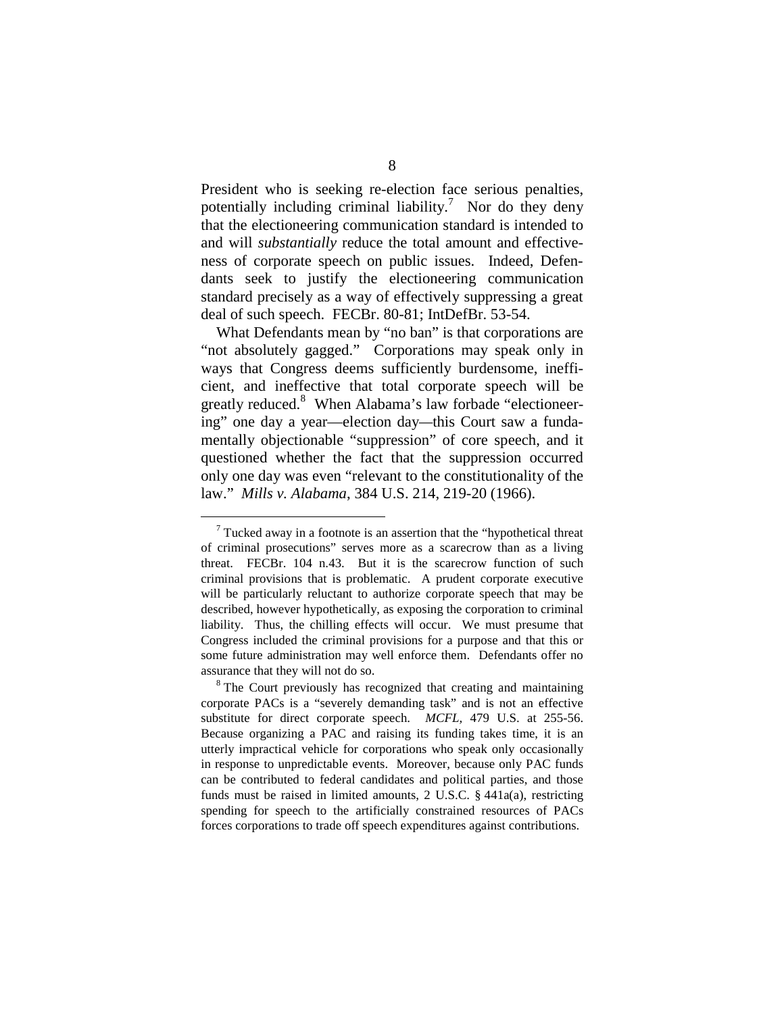President who is seeking re-election face serious penalties, potentially including criminal liability. 7 Nor do they deny that the electioneering communication standard is intended to and will *substantially* reduce the total amount and effectiveness of corporate speech on public issues. Indeed, Defendants seek to justify the electioneering communication standard precisely as a way of effectively suppressing a great deal of such speech. FECBr. 80-81; IntDefBr. 53-54.

What Defendants mean by "no ban" is that corporations are "not absolutely gagged." Corporations may speak only in ways that Congress deems sufficiently burdensome, inefficient, and ineffective that total corporate speech will be greatly reduced.<sup>8</sup> When Alabama's law forbade "electioneering" one day a year—election day*—*this Court saw a fundamentally objectionable "suppression" of core speech, and it questioned whether the fact that the suppression occurred only one day was even "relevant to the constitutionality of the law." *Mills v. Alabama*, 384 U.S. 214, 219-20 (1966).

 $7$  Tucked away in a footnote is an assertion that the "hypothetical threat" of criminal prosecutions" serves more as a scarecrow than as a living threat. FECBr. 104 n.43. But it is the scarecrow function of such criminal provisions that is problematic. A prudent corporate executive will be particularly reluctant to authorize corporate speech that may be described, however hypothetically, as exposing the corporation to criminal liability. Thus, the chilling effects will occur. We must presume that Congress included the criminal provisions for a purpose and that this or some future administration may well enforce them. Defendants offer no assurance that they will not do so. <sup>8</sup> The Court previously has recognized that creating and maintaining

corporate PACs is a "severely demanding task" and is not an effective substitute for direct corporate speech. *MCFL,* 479 U.S. at 255-56. Because organizing a PAC and raising its funding takes time, it is an utterly impractical vehicle for corporations who speak only occasionally in response to unpredictable events. Moreover, because only PAC funds can be contributed to federal candidates and political parties, and those funds must be raised in limited amounts, 2 U.S.C. § 441a(a), restricting spending for speech to the artificially constrained resources of PACs forces corporations to trade off speech expenditures against contributions.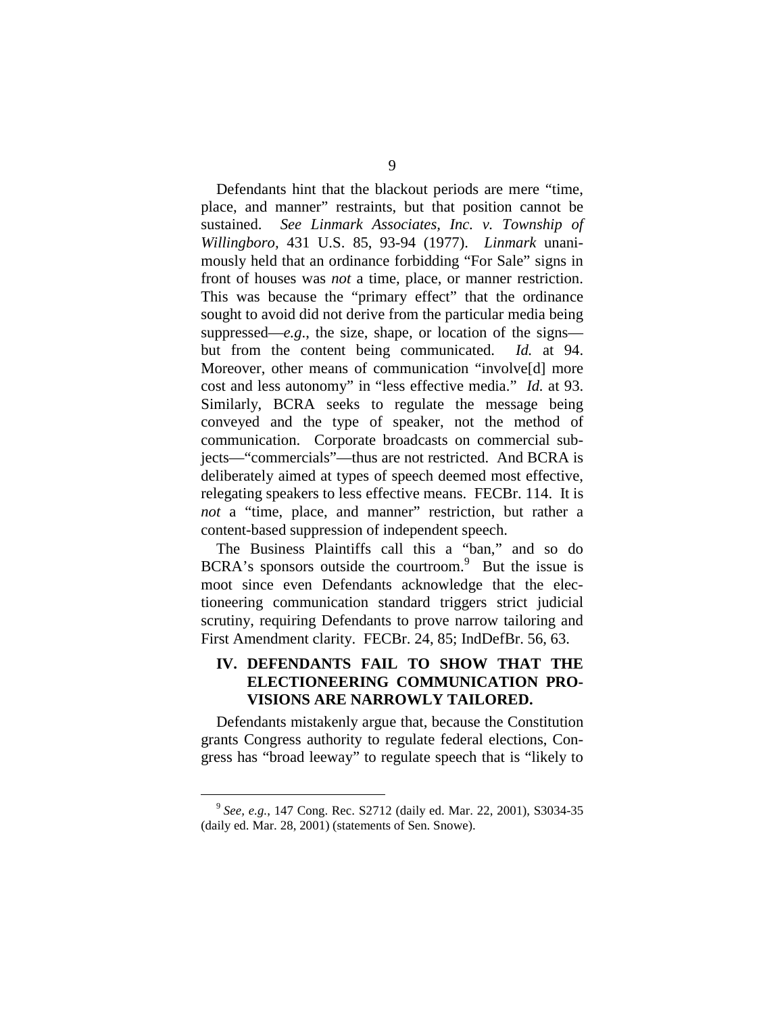Defendants hint that the blackout periods are mere "time, place, and manner" restraints, but that position cannot be sustained. *See Linmark Associates, Inc. v. Township of Willingboro,* 431 U.S. 85, 93-94 (1977). *Linmark* unanimously held that an ordinance forbidding "For Sale" signs in front of houses was *not* a time, place, or manner restriction. This was because the "primary effect" that the ordinance sought to avoid did not derive from the particular media being suppressed—*e.g*., the size, shape, or location of the signs but from the content being communicated. *Id.* at 94. Moreover, other means of communication "involveldl more cost and less autonomy" in "less effective media." *Id.* at 93. Similarly, BCRA seeks to regulate the message being conveyed and the type of speaker, not the method of communication. Corporate broadcasts on commercial subjects—"commercials"—thus are not restricted. And BCRA is deliberately aimed at types of speech deemed most effective, relegating speakers to less effective means. FECBr. 114. It is *not* a "time, place, and manner" restriction, but rather a content-based suppression of independent speech.

The Business Plaintiffs call this a "ban," and so do BCRA's sponsors outside the courtroom. $9$  But the issue is moot since even Defendants acknowledge that the electioneering communication standard triggers strict judicial scrutiny, requiring Defendants to prove narrow tailoring and First Amendment clarity. FECBr. 24, 85; IndDefBr. 56, 63.

### **IV. DEFENDANTS FAIL TO SHOW THAT THE ELECTIONEERING COMMUNICATION PRO-VISIONS ARE NARROWLY TAILORED.**

Defendants mistakenly argue that, because the Constitution grants Congress authority to regulate federal elections, Congress has "broad leeway" to regulate speech that is "likely to

<sup>9</sup>*See, e.g.*, 147 Cong. Rec. S2712 (daily ed. Mar. 22, 2001), S3034-35 (daily ed. Mar. 28, 2001) (statements of Sen. Snowe).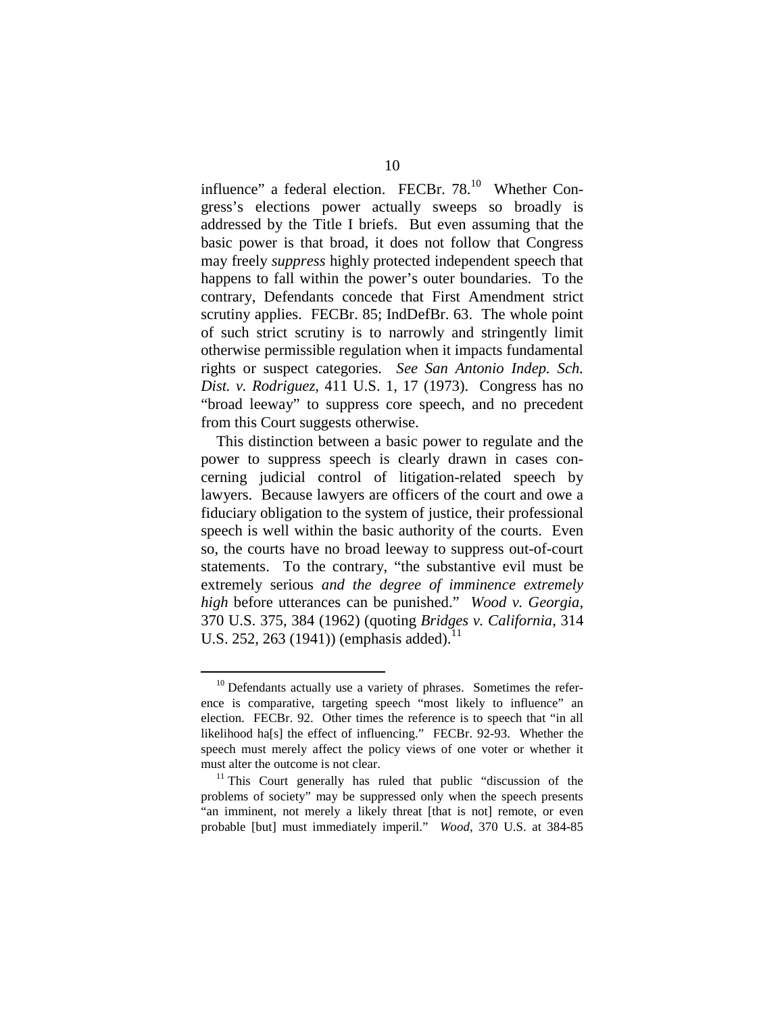influence" a federal election. FECBr. 78.<sup>10</sup> Whether Congress's elections power actually sweeps so broadly is addressed by the Title I briefs. But even assuming that the basic power is that broad, it does not follow that Congress may freely *suppress* highly protected independent speech that happens to fall within the power's outer boundaries. To the contrary, Defendants concede that First Amendment strict scrutiny applies. FECBr. 85; IndDefBr. 63. The whole point of such strict scrutiny is to narrowly and stringently limit otherwise permissible regulation when it impacts fundamental rights or suspect categories. *See San Antonio Indep. Sch. Dist. v. Rodriguez*, 411 U.S. 1, 17 (1973). Congress has no "broad leeway" to suppress core speech, and no precedent from this Court suggests otherwise.

This distinction between a basic power to regulate and the power to suppress speech is clearly drawn in cases concerning judicial control of litigation-related speech by lawyers. Because lawyers are officers of the court and owe a fiduciary obligation to the system of justice, their professional speech is well within the basic authority of the courts. Even so, the courts have no broad leeway to suppress out-of-court statements. To the contrary, "the substantive evil must be extremely serious *and the degree of imminence extremely high* before utterances can be punished." *Wood v. Georgia*, 370 U.S. 375, 384 (1962) (quoting *Bridges v. California*, 314 U.S. 252, 263 (1941)) (emphasis added).<sup>11</sup>

 $10$  Defendants actually use a variety of phrases. Sometimes the reference is comparative, targeting speech "most likely to influence" an election. FECBr. 92. Other times the reference is to speech that "in all likelihood ha[s] the effect of influencing." FECBr. 92-93. Whether the speech must merely affect the policy views of one voter or whether it must alter the outcome is not clear.<br><sup>11</sup> This Court generally has ruled that public "discussion of the

problems of society" may be suppressed only when the speech presents "an imminent, not merely a likely threat [that is not] remote, or even probable [but] must immediately imperil." *Wood*, 370 U.S. at 384-85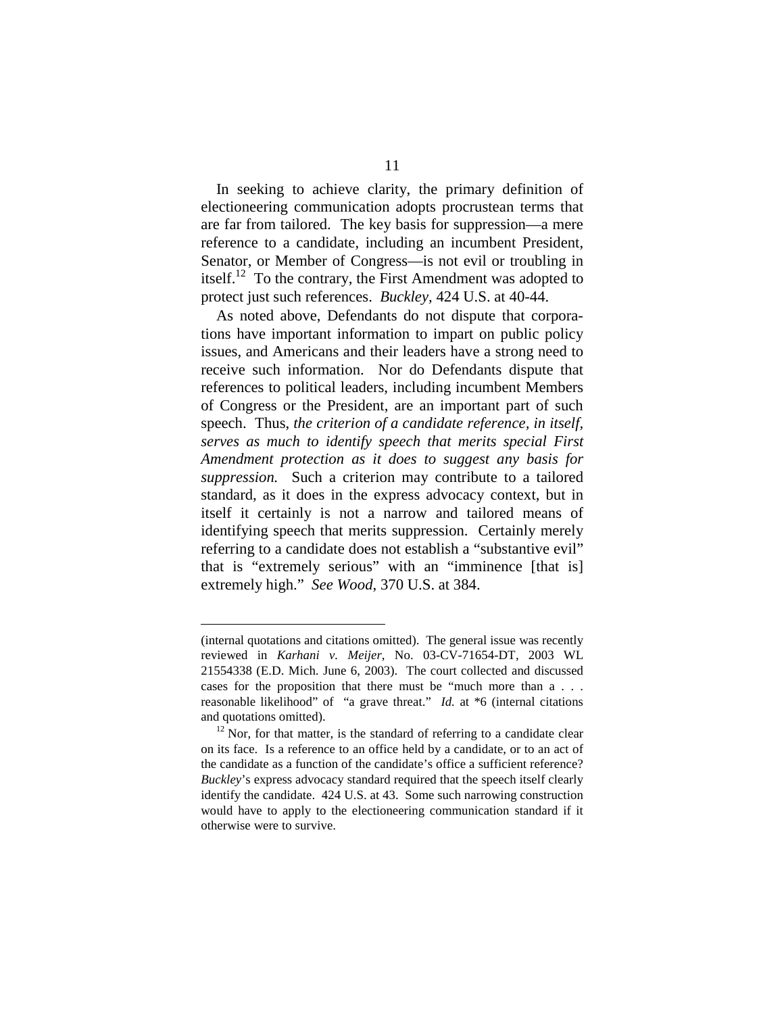In seeking to achieve clarity, the primary definition of electioneering communication adopts procrustean terms that are far from tailored. The key basis for suppression—a mere reference to a candidate, including an incumbent President, Senator, or Member of Congress—is not evil or troubling in itself.<sup>12</sup> To the contrary, the First Amendment was adopted to protect just such references. *Buckley,* 424 U.S. at 40-44.

As noted above, Defendants do not dispute that corporations have important information to impart on public policy issues, and Americans and their leaders have a strong need to receive such information. Nor do Defendants dispute that references to political leaders, including incumbent Members of Congress or the President, are an important part of such speech. Thus, *the criterion of a candidate reference, in itself, serves as much to identify speech that merits special First Amendment protection as it does to suggest any basis for suppression.* Such a criterion may contribute to a tailored standard, as it does in the express advocacy context, but in itself it certainly is not a narrow and tailored means of identifying speech that merits suppression. Certainly merely referring to a candidate does not establish a "substantive evil" that is "extremely serious" with an "imminence [that is] extremely high." *See Wood*, 370 U.S. at 384.

<sup>(</sup>internal quotations and citations omitted). The general issue was recently reviewed in *Karhani v. Meijer*, No. 03-CV-71654-DT, 2003 WL 21554338 (E.D. Mich. June 6, 2003). The court collected and discussed cases for the proposition that there must be "much more than a . . . reasonable likelihood" of "a grave threat." *Id.* at \*6 (internal citations and quotations omitted).<br><sup>12</sup> Nor, for that matter, is the standard of referring to a candidate clear

on its face. Is a reference to an office held by a candidate, or to an act of the candidate as a function of the candidate's office a sufficient reference? *Buckley*'s express advocacy standard required that the speech itself clearly identify the candidate. 424 U.S. at 43. Some such narrowing construction would have to apply to the electioneering communication standard if it otherwise were to survive.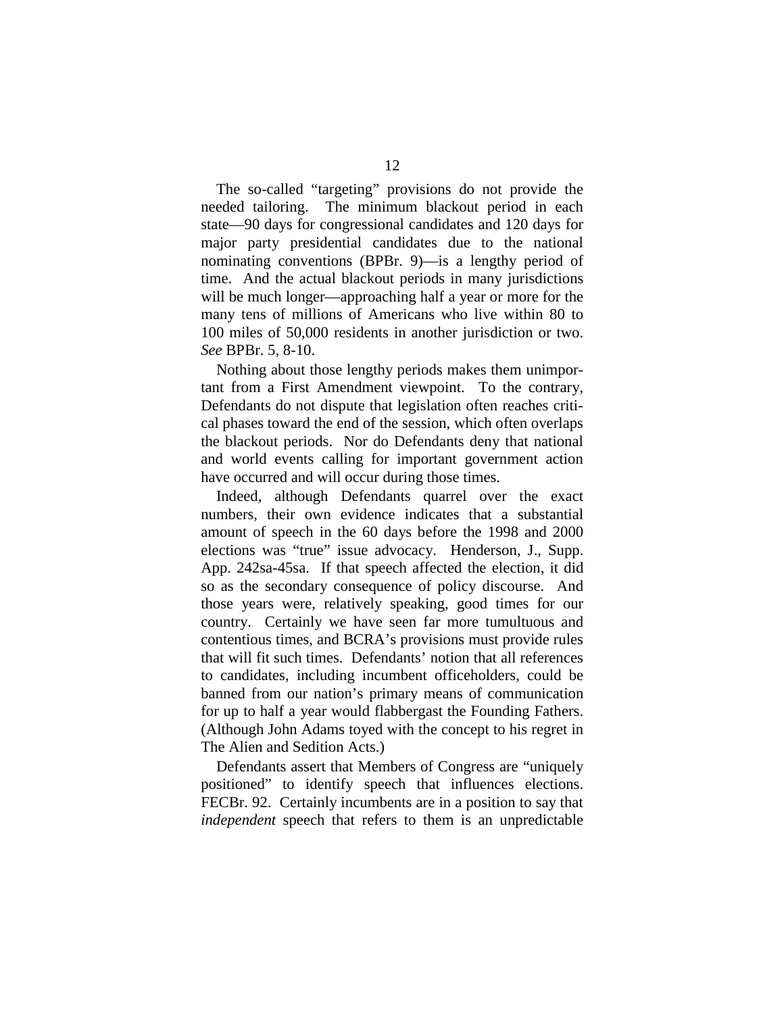The so-called "targeting" provisions do not provide the needed tailoring. The minimum blackout period in each state—90 days for congressional candidates and 120 days for major party presidential candidates due to the national nominating conventions (BPBr. 9)—is a lengthy period of time. And the actual blackout periods in many jurisdictions will be much longer—approaching half a year or more for the many tens of millions of Americans who live within 80 to 100 miles of 50,000 residents in another jurisdiction or two. *See* BPBr. 5, 8-10.

Nothing about those lengthy periods makes them unimportant from a First Amendment viewpoint. To the contrary, Defendants do not dispute that legislation often reaches critical phases toward the end of the session, which often overlaps the blackout periods. Nor do Defendants deny that national and world events calling for important government action have occurred and will occur during those times.

Indeed, although Defendants quarrel over the exact numbers, their own evidence indicates that a substantial amount of speech in the 60 days before the 1998 and 2000 elections was "true" issue advocacy. Henderson, J., Supp. App. 242sa-45sa. If that speech affected the election, it did so as the secondary consequence of policy discourse. And those years were, relatively speaking, good times for our country. Certainly we have seen far more tumultuous and contentious times, and BCRA's provisions must provide rules that will fit such times. Defendants' notion that all references to candidates, including incumbent officeholders, could be banned from our nation's primary means of communication for up to half a year would flabbergast the Founding Fathers. (Although John Adams toyed with the concept to his regret in The Alien and Sedition Acts.)

Defendants assert that Members of Congress are "uniquely positioned" to identify speech that influences elections. FECBr. 92. Certainly incumbents are in a position to say that *independent* speech that refers to them is an unpredictable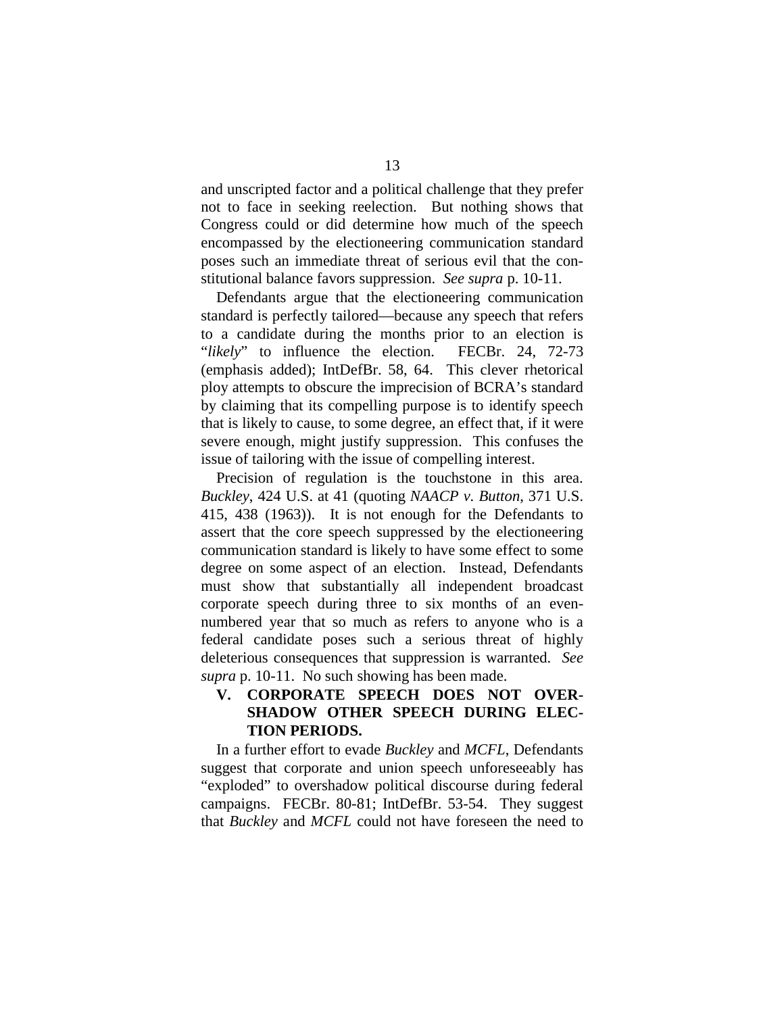and unscripted factor and a political challenge that they prefer not to face in seeking reelection. But nothing shows that Congress could or did determine how much of the speech encompassed by the electioneering communication standard poses such an immediate threat of serious evil that the constitutional balance favors suppression. *See supra* p. 10-11.

Defendants argue that the electioneering communication standard is perfectly tailored—because any speech that refers to a candidate during the months prior to an election is "*likely*" to influence the election. FECBr. 24, 72-73 (emphasis added); IntDefBr. 58, 64. This clever rhetorical ploy attempts to obscure the imprecision of BCRA's standard by claiming that its compelling purpose is to identify speech that is likely to cause, to some degree, an effect that, if it were severe enough, might justify suppression. This confuses the issue of tailoring with the issue of compelling interest.

Precision of regulation is the touchstone in this area. *Buckley*, 424 U.S. at 41 (quoting *NAACP v. Button*, 371 U.S. 415, 438 (1963)). It is not enough for the Defendants to assert that the core speech suppressed by the electioneering communication standard is likely to have some effect to some degree on some aspect of an election. Instead, Defendants must show that substantially all independent broadcast corporate speech during three to six months of an evennumbered year that so much as refers to anyone who is a federal candidate poses such a serious threat of highly deleterious consequences that suppression is warranted. *See supra* p. 10-11. No such showing has been made.

### **V. CORPORATE SPEECH DOES NOT OVER-SHADOW OTHER SPEECH DURING ELEC-TION PERIODS.**

In a further effort to evade *Buckley* and *MCFL*, Defendants suggest that corporate and union speech unforeseeably has "exploded" to overshadow political discourse during federal campaigns. FECBr. 80-81; IntDefBr. 53-54. They suggest that *Buckley* and *MCFL* could not have foreseen the need to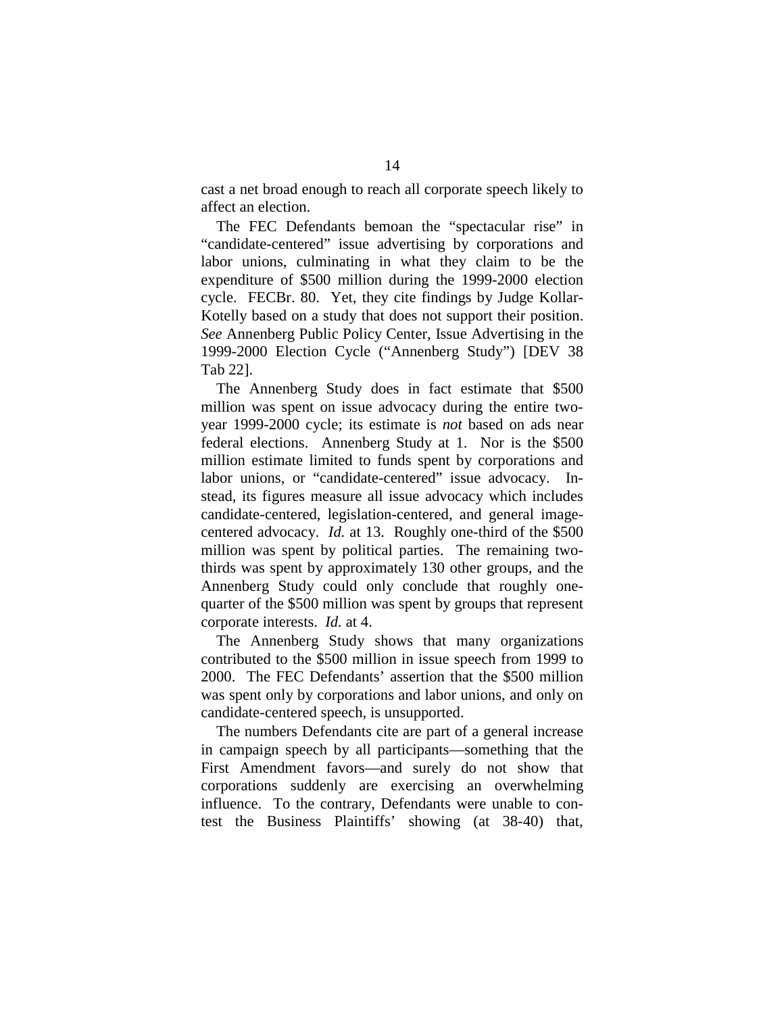cast a net broad enough to reach all corporate speech likely to affect an election.

The FEC Defendants bemoan the "spectacular rise" in "candidate-centered" issue advertising by corporations and labor unions, culminating in what they claim to be the expenditure of \$500 million during the 1999-2000 election cycle. FECBr. 80. Yet, they cite findings by Judge Kollar-Kotelly based on a study that does not support their position. *See* Annenberg Public Policy Center, Issue Advertising in the 1999-2000 Election Cycle ("Annenberg Study") [DEV 38 Tab 22].

The Annenberg Study does in fact estimate that \$500 million was spent on issue advocacy during the entire twoyear 1999-2000 cycle; its estimate is *not* based on ads near federal elections. Annenberg Study at 1. Nor is the \$500 million estimate limited to funds spent by corporations and labor unions, or "candidate-centered" issue advocacy. Instead, its figures measure all issue advocacy which includes candidate-centered, legislation-centered, and general imagecentered advocacy. *Id.* at 13. Roughly one-third of the \$500 million was spent by political parties. The remaining twothirds was spent by approximately 130 other groups, and the Annenberg Study could only conclude that roughly onequarter of the \$500 million was spent by groups that represent corporate interests. *Id.* at 4.

The Annenberg Study shows that many organizations contributed to the \$500 million in issue speech from 1999 to 2000. The FEC Defendants' assertion that the \$500 million was spent only by corporations and labor unions, and only on candidate-centered speech, is unsupported.

The numbers Defendants cite are part of a general increase in campaign speech by all participants—something that the First Amendment favors—and surely do not show that corporations suddenly are exercising an overwhelming influence. To the contrary, Defendants were unable to contest the Business Plaintiffs' showing (at 38-40) that,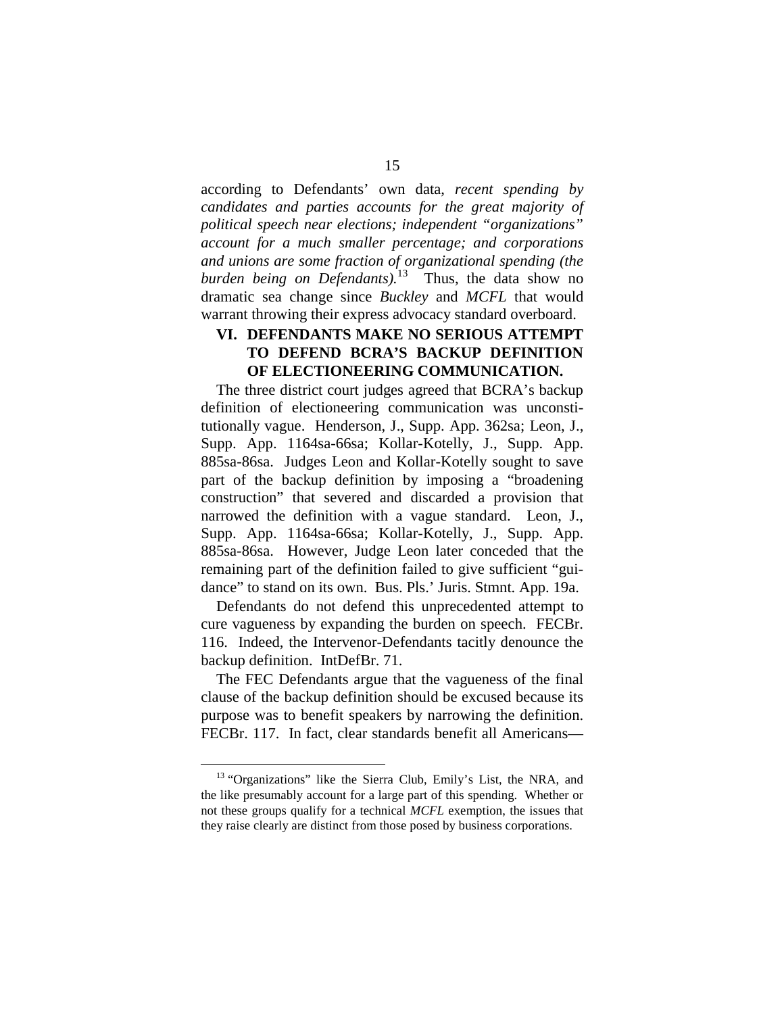according to Defendants' own data, *recent spending by candidates and parties accounts for the great majority of political speech near elections; independent "organizations" account for a much smaller percentage; and corporations and unions are some fraction of organizational spending (the*  burden being on Defendants).<sup>13</sup> Thus, the data show no dramatic sea change since *Buckley* and *MCFL* that would warrant throwing their express advocacy standard overboard.

### **VI. DEFENDANTS MAKE NO SERIOUS ATTEMPT TO DEFEND BCRA'S BACKUP DEFINITION OF ELECTIONEERING COMMUNICATION.**

The three district court judges agreed that BCRA's backup definition of electioneering communication was unconstitutionally vague. Henderson, J., Supp. App. 362sa; Leon, J., Supp. App. 1164sa-66sa; Kollar-Kotelly, J., Supp. App. 885sa-86sa. Judges Leon and Kollar-Kotelly sought to save part of the backup definition by imposing a "broadening construction" that severed and discarded a provision that narrowed the definition with a vague standard. Leon, J., Supp. App. 1164sa-66sa; Kollar-Kotelly, J., Supp. App. 885sa-86sa. However, Judge Leon later conceded that the remaining part of the definition failed to give sufficient "guidance" to stand on its own. Bus. Pls.' Juris. Stmnt. App. 19a.

Defendants do not defend this unprecedented attempt to cure vagueness by expanding the burden on speech. FECBr. 116. Indeed, the Intervenor-Defendants tacitly denounce the backup definition. IntDefBr. 71.

The FEC Defendants argue that the vagueness of the final clause of the backup definition should be excused because its purpose was to benefit speakers by narrowing the definition. FECBr. 117. In fact, clear standards benefit all Americans—

<sup>&</sup>lt;sup>13</sup> "Organizations" like the Sierra Club, Emily's List, the NRA, and the like presumably account for a large part of this spending. Whether or not these groups qualify for a technical *MCFL* exemption, the issues that they raise clearly are distinct from those posed by business corporations.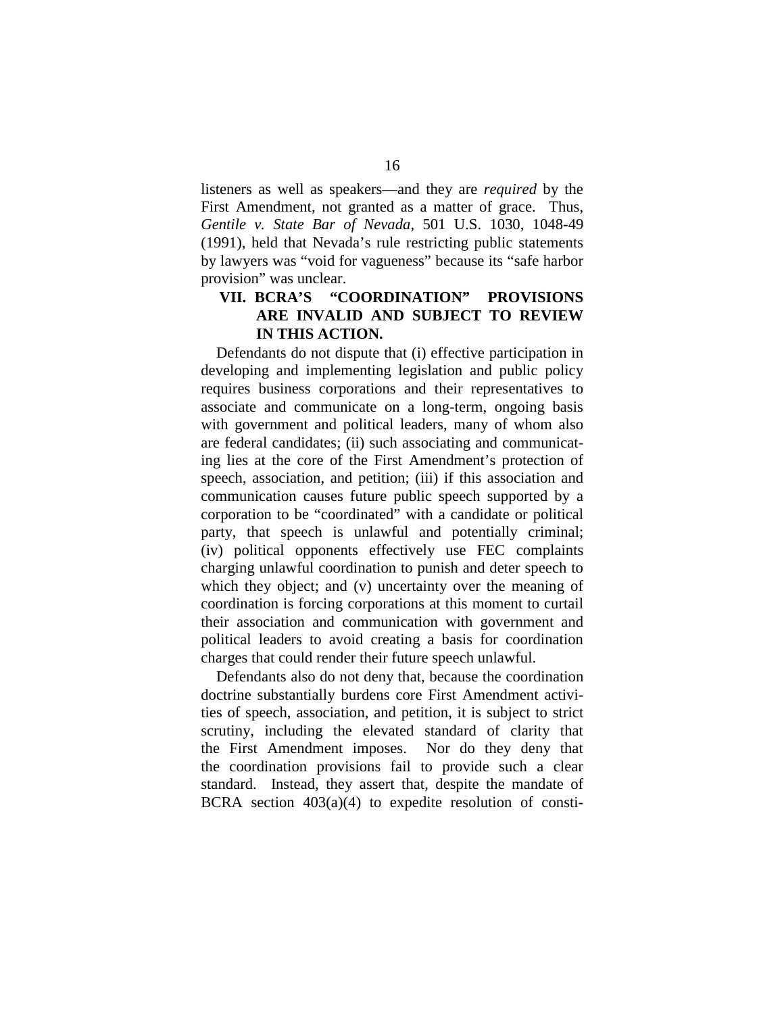listeners as well as speakers—and they are *required* by the First Amendment, not granted as a matter of grace. Thus, *Gentile v. State Bar of Nevada*, 501 U.S. 1030, 1048-49 (1991), held that Nevada's rule restricting public statements by lawyers was "void for vagueness" because its "safe harbor provision" was unclear.

### VII. BCRA'S "COORDINATION" PROVISIONS **ARE INVALID AND SUBJECT TO REVIEW IN THIS ACTION.**

Defendants do not dispute that (i) effective participation in developing and implementing legislation and public policy requires business corporations and their representatives to associate and communicate on a long-term, ongoing basis with government and political leaders, many of whom also are federal candidates; (ii) such associating and communicating lies at the core of the First Amendment's protection of speech, association, and petition; (iii) if this association and communication causes future public speech supported by a corporation to be "coordinated" with a candidate or political party, that speech is unlawful and potentially criminal; (iv) political opponents effectively use FEC complaints charging unlawful coordination to punish and deter speech to which they object; and (v) uncertainty over the meaning of coordination is forcing corporations at this moment to curtail their association and communication with government and political leaders to avoid creating a basis for coordination charges that could render their future speech unlawful.

Defendants also do not deny that, because the coordination doctrine substantially burdens core First Amendment activities of speech, association, and petition, it is subject to strict scrutiny, including the elevated standard of clarity that the First Amendment imposes. Nor do they deny that the coordination provisions fail to provide such a clear standard. Instead, they assert that, despite the mandate of BCRA section  $403(a)(4)$  to expedite resolution of consti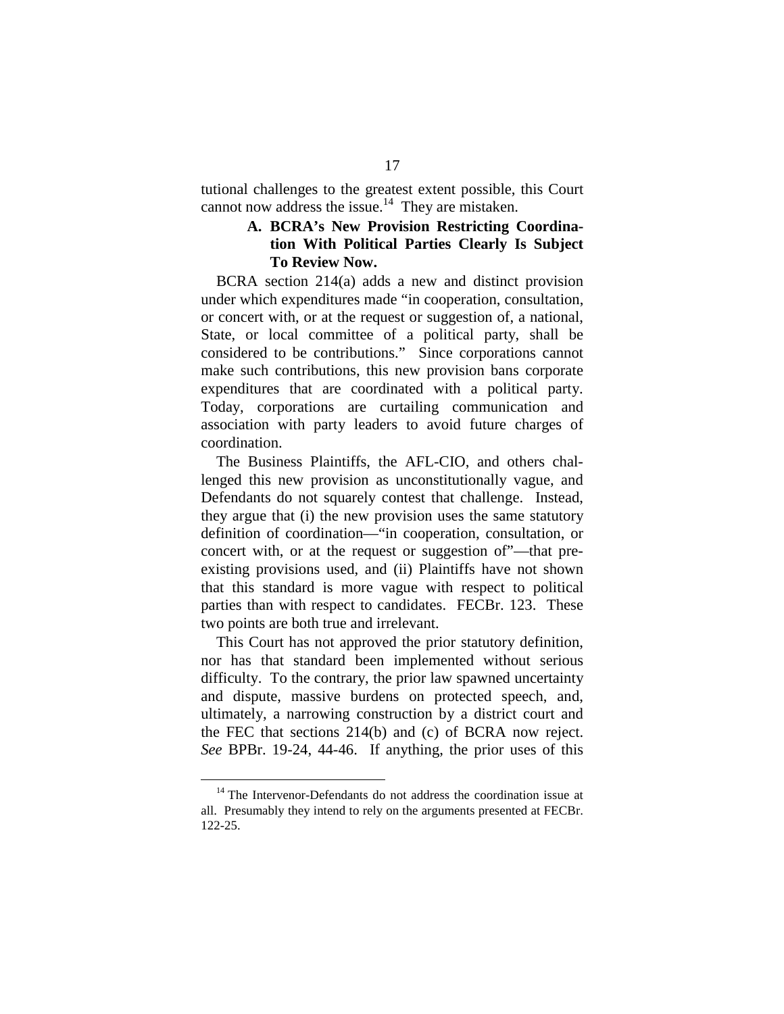tutional challenges to the greatest extent possible, this Court cannot now address the issue.<sup>14</sup> They are mistaken.

#### **A. BCRA's New Provision Restricting Coordination With Political Parties Clearly Is Subject To Review Now.**

BCRA section 214(a) adds a new and distinct provision under which expenditures made "in cooperation, consultation, or concert with, or at the request or suggestion of, a national, State, or local committee of a political party, shall be considered to be contributions." Since corporations cannot make such contributions, this new provision bans corporate expenditures that are coordinated with a political party. Today, corporations are curtailing communication and association with party leaders to avoid future charges of coordination.

The Business Plaintiffs, the AFL-CIO, and others challenged this new provision as unconstitutionally vague, and Defendants do not squarely contest that challenge. Instead, they argue that (i) the new provision uses the same statutory definition of coordination—"in cooperation, consultation, or concert with, or at the request or suggestion of"—that preexisting provisions used, and (ii) Plaintiffs have not shown that this standard is more vague with respect to political parties than with respect to candidates. FECBr. 123. These two points are both true and irrelevant.

This Court has not approved the prior statutory definition, nor has that standard been implemented without serious difficulty. To the contrary, the prior law spawned uncertainty and dispute, massive burdens on protected speech, and, ultimately, a narrowing construction by a district court and the FEC that sections 214(b) and (c) of BCRA now reject. *See* BPBr. 19-24, 44-46. If anything, the prior uses of this

<sup>&</sup>lt;sup>14</sup> The Intervenor-Defendants do not address the coordination issue at all. Presumably they intend to rely on the arguments presented at FECBr. 122-25.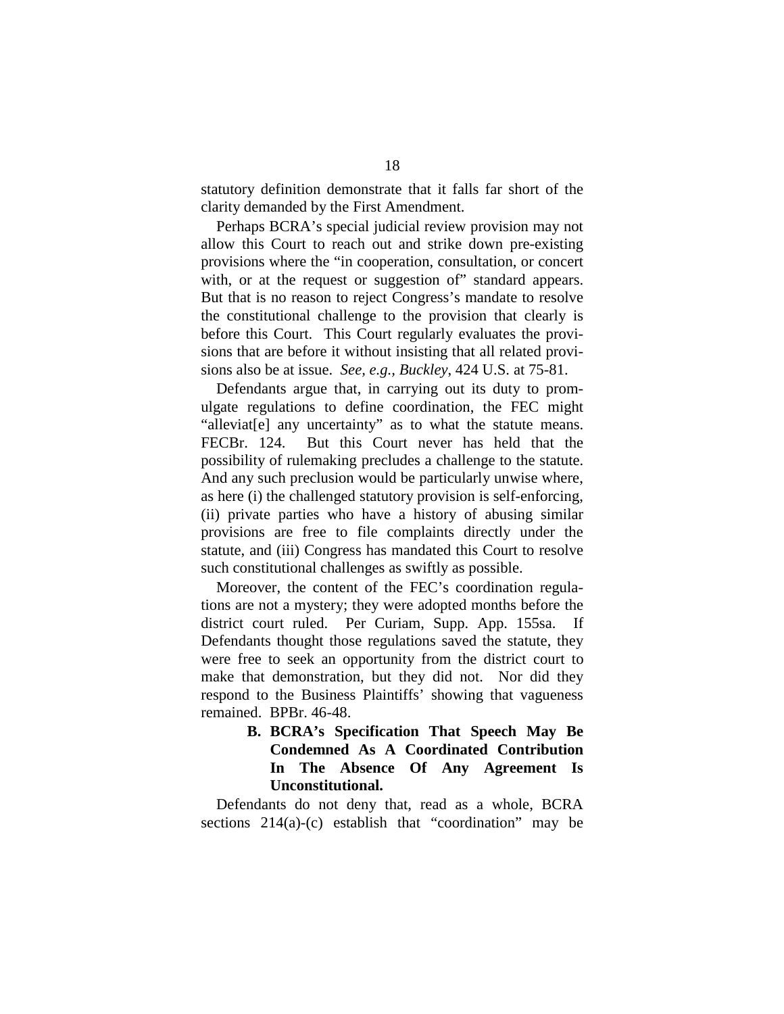statutory definition demonstrate that it falls far short of the clarity demanded by the First Amendment.

Perhaps BCRA's special judicial review provision may not allow this Court to reach out and strike down pre-existing provisions where the "in cooperation, consultation, or concert with, or at the request or suggestion of" standard appears. But that is no reason to reject Congress's mandate to resolve the constitutional challenge to the provision that clearly is before this Court. This Court regularly evaluates the provisions that are before it without insisting that all related provisions also be at issue. *See, e.g., Buckley*, 424 U.S. at 75-81.

Defendants argue that, in carrying out its duty to promulgate regulations to define coordination, the FEC might "alleviat[e] any uncertainty" as to what the statute means. FECBr. 124. But this Court never has held that the possibility of rulemaking precludes a challenge to the statute. And any such preclusion would be particularly unwise where, as here (i) the challenged statutory provision is self-enforcing, (ii) private parties who have a history of abusing similar provisions are free to file complaints directly under the statute, and (iii) Congress has mandated this Court to resolve such constitutional challenges as swiftly as possible.

Moreover, the content of the FEC's coordination regulations are not a mystery; they were adopted months before the district court ruled. Per Curiam, Supp. App. 155sa. If Defendants thought those regulations saved the statute, they were free to seek an opportunity from the district court to make that demonstration, but they did not. Nor did they respond to the Business Plaintiffs' showing that vagueness remained. BPBr. 46-48.

> **B. BCRA's Specification That Speech May Be Condemned As A Coordinated Contribution In The Absence Of Any Agreement Is Unconstitutional.**

Defendants do not deny that, read as a whole, BCRA sections 214(a)-(c) establish that "coordination" may be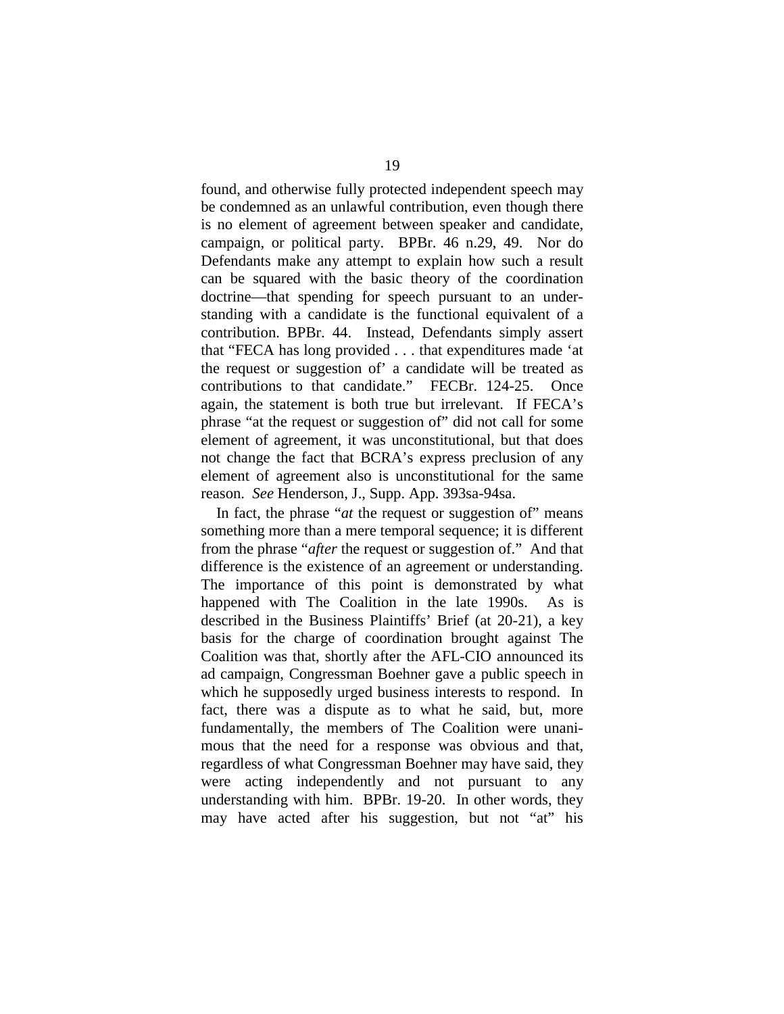found, and otherwise fully protected independent speech may be condemned as an unlawful contribution, even though there is no element of agreement between speaker and candidate, campaign, or political party. BPBr. 46 n.29, 49. Nor do Defendants make any attempt to explain how such a result can be squared with the basic theory of the coordination doctrine—that spending for speech pursuant to an understanding with a candidate is the functional equivalent of a contribution. BPBr. 44. Instead, Defendants simply assert that "FECA has long provided . . . that expenditures made 'at the request or suggestion of' a candidate will be treated as contributions to that candidate." FECBr. 124-25. Once again, the statement is both true but irrelevant. If FECA's phrase "at the request or suggestion of" did not call for some element of agreement, it was unconstitutional, but that does not change the fact that BCRA's express preclusion of any element of agreement also is unconstitutional for the same reason. *See* Henderson, J., Supp. App. 393sa-94sa.

In fact, the phrase "*at* the request or suggestion of" means something more than a mere temporal sequence; it is different from the phrase "*after* the request or suggestion of." And that difference is the existence of an agreement or understanding. The importance of this point is demonstrated by what happened with The Coalition in the late 1990s. As is described in the Business Plaintiffs' Brief (at 20-21), a key basis for the charge of coordination brought against The Coalition was that, shortly after the AFL-CIO announced its ad campaign, Congressman Boehner gave a public speech in which he supposedly urged business interests to respond. In fact, there was a dispute as to what he said, but, more fundamentally, the members of The Coalition were unanimous that the need for a response was obvious and that, regardless of what Congressman Boehner may have said, they were acting independently and not pursuant to any understanding with him. BPBr. 19-20. In other words, they may have acted after his suggestion, but not "at" his